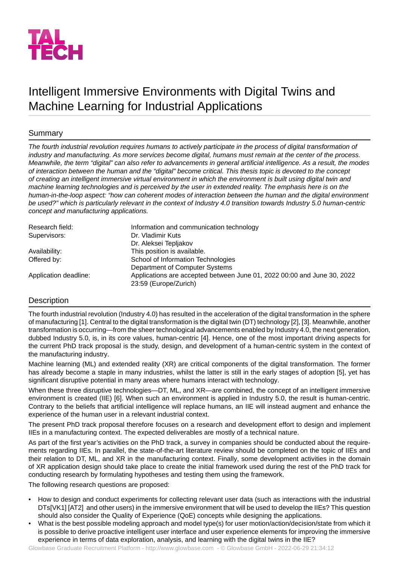

# Intelligent Immersive Environments with Digital Twins and Machine Learning for Industrial Applications

### Summary

*The fourth industrial revolution requires humans to actively participate in the process of digital transformation of industry and manufacturing. As more services become digital, humans must remain at the center of the process. Meanwhile, the term "digital" can also refer to advancements in general artificial intelligence. As a result, the modes of interaction between the human and the "digital" become critical. This thesis topic is devoted to the concept of creating an intelligent immersive virtual environment in which the environment is built using digital twin and* machine learning technologies and is perceived by the user in extended reality. The emphasis here is on the *human-in-the-loop aspect: "how can coherent modes of interaction between the human and the digital environment be used?" which is particularly relevant in the context of Industry 4.0 transition towards Industry 5.0 human-centric concept and manufacturing applications.*

| Research field:       | Information and communication technology                                                         |
|-----------------------|--------------------------------------------------------------------------------------------------|
| Supervisors:          | Dr. Vladimir Kuts                                                                                |
|                       | Dr. Aleksei Tepljakov                                                                            |
| Availability:         | This position is available.                                                                      |
| Offered by:           | School of Information Technologies                                                               |
|                       | Department of Computer Systems                                                                   |
| Application deadline: | Applications are accepted between June 01, 2022 00:00 and June 30, 2022<br>23:59 (Europe/Zurich) |

## **Description**

The fourth industrial revolution (Industry 4.0) has resulted in the acceleration of the digital transformation in the sphere of manufacturing [1]. Central to the digital transformation is the digital twin (DT) technology [2], [3]. Meanwhile, another transformation is occurring—from the sheer technological advancements enabled by Industry 4.0, the next generation, dubbed Industry 5.0, is, in its core values, human-centric [4]. Hence, one of the most important driving aspects for the current PhD track proposal is the study, design, and development of a human-centric system in the context of the manufacturing industry.

Machine learning (ML) and extended reality (XR) are critical components of the digital transformation. The former has already become a staple in many industries, whilst the latter is still in the early stages of adoption [5], yet has significant disruptive potential in many areas where humans interact with technology.

When these three disruptive technologies—DT, ML, and XR—are combined, the concept of an intelligent immersive environment is created (IIE) [6]. When such an environment is applied in Industry 5.0, the result is human-centric. Contrary to the beliefs that artificial intelligence will replace humans, an IIE will instead augment and enhance the experience of the human user in a relevant industrial context.

The present PhD track proposal therefore focuses on a research and development effort to design and implement IIEs in a manufacturing context. The expected deliverables are mostly of a technical nature.

As part of the first year's activities on the PhD track, a survey in companies should be conducted about the requirements regarding IIEs. In parallel, the state-of-the-art literature review should be completed on the topic of IIEs and their relation to DT, ML, and XR in the manufacturing context. Finally, some development activities in the domain of XR application design should take place to create the initial framework used during the rest of the PhD track for conducting research by formulating hypotheses and testing them using the framework.

The following research questions are proposed:

- How to design and conduct experiments for collecting relevant user data (such as interactions with the industrial DTs[VK1] [AT2] and other users) in the immersive environment that will be used to develop the IIEs? This question should also consider the Quality of Experience (QoE) concepts while designing the applications.
- What is the best possible modeling approach and model type(s) for user motion/action/decision/state from which it is possible to derive proactive intelligent user interface and user experience elements for improving the immersive experience in terms of data exploration, analysis, and learning with the digital twins in the IIE?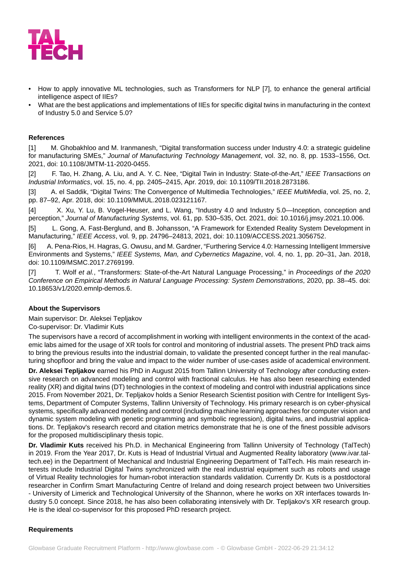

- How to apply innovative ML technologies, such as Transformers for NLP [7], to enhance the general artificial intelligence aspect of IIEs?
- What are the best applications and implementations of IIEs for specific digital twins in manufacturing in the context of Industry 5.0 and Service 5.0?

#### **References**

[1] M. Ghobakhloo and M. Iranmanesh, "Digital transformation success under Industry 4.0: a strategic guideline for manufacturing SMEs," *Journal of Manufacturing Technology Management*, vol. 32, no. 8, pp. 1533–1556, Oct. 2021, doi: 10.1108/JMTM-11-2020-0455.

[2] F. Tao, H. Zhang, A. Liu, and A. Y. C. Nee, "Digital Twin in Industry: State-of-the-Art," *IEEE Transactions on Industrial Informatics*, vol. 15, no. 4, pp. 2405–2415, Apr. 2019, doi: 10.1109/TII.2018.2873186.

[3] A. el Saddik, "Digital Twins: The Convergence of Multimedia Technologies," *IEEE MultiMedia*, vol. 25, no. 2, pp. 87–92, Apr. 2018, doi: 10.1109/MMUL.2018.023121167.

[4] X. Xu, Y. Lu, B. Vogel-Heuser, and L. Wang, "Industry 4.0 and Industry 5.0—Inception, conception and perception," *Journal of Manufacturing Systems*, vol. 61, pp. 530–535, Oct. 2021, doi: 10.1016/j.jmsy.2021.10.006.

[5] L. Gong, A. Fast-Berglund, and B. Johansson, "A Framework for Extended Reality System Development in Manufacturing," *IEEE Access*, vol. 9, pp. 24796–24813, 2021, doi: 10.1109/ACCESS.2021.3056752.

[6] A. Pena-Rios, H. Hagras, G. Owusu, and M. Gardner, "Furthering Service 4.0: Harnessing Intelligent Immersive Environments and Systems," *IEEE Systems, Man, and Cybernetics Magazine*, vol. 4, no. 1, pp. 20–31, Jan. 2018, doi: 10.1109/MSMC.2017.2769199.

[7] T. Wolf *et al.*, "Transformers: State-of-the-Art Natural Language Processing," in *Proceedings of the 2020 Conference on Empirical Methods in Natural Language Processing: System Demonstrations*, 2020, pp. 38–45. doi: 10.18653/v1/2020.emnlp-demos.6.

#### **About the Supervisors**

Main supervisor: Dr. Aleksei Tepljakov Co-supervisor: Dr. Vladimir Kuts

The supervisors have a record of accomplishment in working with intelligent environments in the context of the academic labs aimed for the usage of XR tools for control and monitoring of industrial assets. The present PhD track aims to bring the previous results into the industrial domain, to validate the presented concept further in the real manufacturing shopfloor and bring the value and impact to the wider number of use-cases aside of academical environment.

**Dr. Aleksei Tepljakov** earned his PhD in August 2015 from Tallinn University of Technology after conducting extensive research on advanced modeling and control with fractional calculus. He has also been researching extended reality (XR) and digital twins (DT) technologies in the context of modeling and control with industrial applications since 2015. From November 2021, Dr. Tepljakov holds a Senior Research Scientist position with Centre for Intelligent Systems, Department of Computer Systems, Tallinn University of Technology. His primary research is on cyber-physical systems, specifically advanced modeling and control (including machine learning approaches for computer vision and dynamic system modeling with genetic programming and symbolic regression), digital twins, and industrial applications. Dr. Tepljakov's research record and citation metrics demonstrate that he is one of the finest possible advisors for the proposed multidisciplinary thesis topic.

**Dr. Vladimir Kuts** received his Ph.D. in Mechanical Engineering from Tallinn University of Technology (TalTech) in 2019. From the Year 2017, Dr. Kuts is Head of Industrial Virtual and Augmented Reality laboratory (www.ivar.taltech.ee) in the Department of Mechanical and Industrial Engineering Department of TalTech. His main research interests include Industrial Digital Twins synchronized with the real industrial equipment such as robots and usage of Virtual Reality technologies for human-robot interaction standards validation. Currently Dr. Kuts is a postdoctoral researcher in Confirm Smart Manufacturing Centre of Ireland and doing research project between two Universities - University of Limerick and Technological University of the Shannon, where he works on XR interfaces towards Industry 5.0 concept. Since 2018, he has also been collaborating intensively with Dr. Tepljakov's XR research group. He is the ideal co-supervisor for this proposed PhD research project.

#### **Requirements**